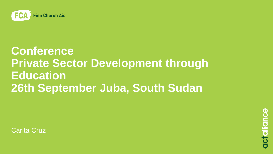

#### **Conference Private Sector Development through Education 26th September Juba, South Sudan**

Carita Cruz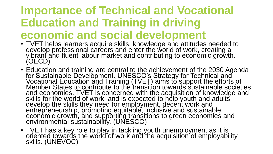#### **Importance of Technical and Vocational Education and Training in driving economic and social development**

- TVET helps learners acquire skills, knowledge and attitudes needed to develop professional careers and enter the world of work, creating a vibrant and fluent labour market and contributing to economic growth. (OECD)
- Education and training are central to the achievement of the 2030 Agenda for Sustainable Development. UNESCO's Strategy for Technical and Vocational Education and Training (TVET) aims to support the efforts of Member States to contribute to the transition towards sustainable societies and economies. TVET is concerned with the acquisition of knowledge and skills for the world of work, and is expected to help youth and adults develop the skills they need for employment, decent work and entrepreneurship, promoting equitable, inclusive and sustainable economic growth, and supporting transitions to green economies and environmental sustainability. (UNESCO)
- TVET has a key role to play in tackling youth unemployment as it is oriented towards the world of work and the acquisition of employability skills. (UNEVOC)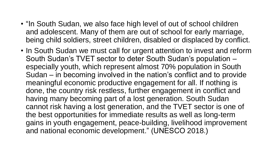- "In South Sudan, we also face high level of out of school children and adolescent. Many of them are out of school for early marriage, being child soldiers, street children, disabled or displaced by conflict.
- In South Sudan we must call for urgent attention to invest and reform South Sudan's TVET sector to deter South Sudan's population – especially youth, which represent almost 70% population in South Sudan – in becoming involved in the nation's conflict and to provide meaningful economic productive engagement for all. If nothing is done, the country risk restless, further engagement in conflict and having many becoming part of a lost generation. South Sudan cannot risk having a lost generation, and the TVET sector is one of the best opportunities for immediate results as well as long-term gains in youth engagement, peace-building, livelihood improvement and national economic development." (UNESCO 2018.)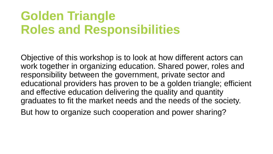## **Golden Triangle Roles and Responsibilities**

Objective of this workshop is to look at how different actors can work together in organizing education. Shared power, roles and responsibility between the government, private sector and educational providers has proven to be a golden triangle; efficient and effective education delivering the quality and quantity graduates to fit the market needs and the needs of the society.

But how to organize such cooperation and power sharing?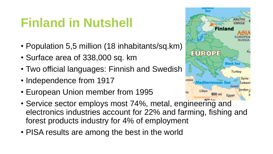## **Finland in Nutshell**

- Population 5,5 million (18 inhabitants/sq.km)
- Surface area of 338,000 sq. km
- Two official languages: Finnish and Swedish
- Independence from 1917
- European Union member from 1995
- Service sector employs most 74%, metal, engineering and electronics industries account for 22% and farming, fishing and forest products industry for 4% of employment
- PISA results are among the best in the world

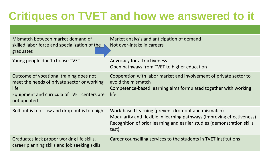#### **Critiques on TVET and how we answered to it**

| Mismatch between market demand of<br>skilled labor force and specialization of the $\blacktriangleright$<br>graduates                                        | Market analysis and anticipation of demand<br>Not over-intake in careers                                                                                                                                          |
|--------------------------------------------------------------------------------------------------------------------------------------------------------------|-------------------------------------------------------------------------------------------------------------------------------------------------------------------------------------------------------------------|
| Young people don't choose TVET                                                                                                                               | Advocacy for attractiveness<br>Open pathways from TVET to higher education                                                                                                                                        |
| Outcome of vocational training does not<br>meet the needs of private sector or working<br>life<br>Equipment and curricula of TVET centers are<br>not updated | Cooperation with labor market and involvement of private sector to<br>avoid the mismatch<br>Competence-based learning aims formulated together with working<br>life                                               |
| Roll-out is too slow and drop-out is too high                                                                                                                | Work-based learning (prevent drop-out and mismatch)<br>Modularity and flexible in learning pathways (Improving effectiveness)<br>Recognition of prior learning and earlier studies (demonstration skills<br>test) |
| Graduates lack proper working life skills,<br>career planning skills and job seeking skills                                                                  | Career counselling services to the students in TVET institutions                                                                                                                                                  |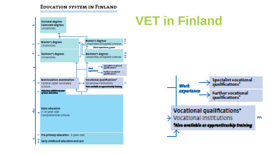#### **EDUCATION SYSTEM IN FINLAND**



## **VET in Finland**

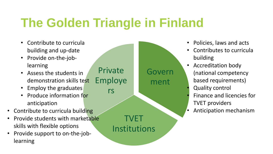# **The Golden Triangle in Finland**

- Contribute to curricula building and up-date
- Provide on-the-joblearning
- Assess the students in demonstration skills test
- Employ the graduates
- Produce information for anticipation
- Contribute to curricula building and a set of the contribute to curricula building
- Provide students with marketable skills with flexible options
- Provide support to on-the-joblearning

Private Employe

rs

TVET Institutions

Govern

ment

- Policies, laws and acts
- Contributes to curricula building
- Accreditation body (national competency based requirements)
- **Quality control**
- Finance and licencies for TVET providers
-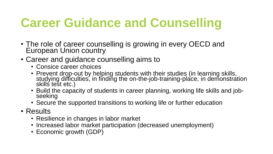# **Career Guidance and Counselling**

- The role of career counselling is growing in every OECD and European Union country
- Career and guidance counselling aims to
	- Consice career choices
	- Prevent drop-out by helping students with their studies (in learning skills, studying difficulties, in finding the on-the-job-training-place, in demonstration skills test etc.)
	- Build the capacity of students in career planning, working life skills and jobseeking
	- Secure the supported transitions to working life or further education
- Results
	- Resilience in changes in labor market
	- Increased labor market participation (decreased unemployment)
	- Economic growth (GDP)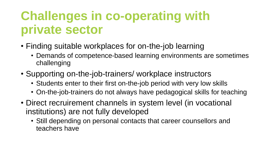## **Challenges in co-operating with private sector**

- Finding suitable workplaces for on-the-job learning
	- Demands of competence-based learning environments are sometimes challenging
- Supporting on-the-job-trainers/ workplace instructors
	- Students enter to their first on-the-job period with very low skills
	- On-the-job-trainers do not always have pedagogical skills for teaching
- Direct recruirement channels in system level (in vocational institutions) are not fully developed
	- Still depending on personal contacts that career counsellors and teachers have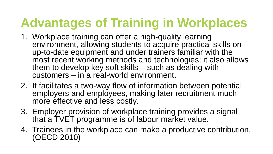# **Advantages of Training in Workplaces**

- 1. Workplace training can offer a high-quality learning environment, allowing students to acquire practical skills on up-to-date equipment and under trainers familiar with the most recent working methods and technologies; it also allows them to develop key soft skills – such as dealing with customers – in a real-world environment.
- 2. It facilitates a two-way flow of information between potential employers and employees, making later recruitment much more effective and less costly.
- 3. Employer provision of workplace training provides a signal that a TVET programme is of labour market value.
- 4. Trainees in the workplace can make a productive contribution. (OECD 2010)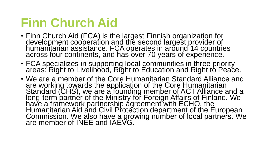### **Finn Church Aid**

- Finn Church Aid (FCA) is the largest Finnish organization for development cooperation and the second largest provider of humanițarian assistance. FCA operat<u>es</u> in arŏund 14 countries across four continents, and has over 70 years of experience.
- FCA specializes in supporting local communities in three priority areas: Right to Livelihood, Right to Education and Right to Peace.
- We are a member of the Core Humanitarian Standard Alliance and are working towards the application of the Core Humanitarian Standard (CHS), we are a founding member of ACT Alliance and a long-term partner of the Ministry for Foreign Affairs of Finland. We have a framework partnership agreement with ECHO, the Humanitarian Aid and Civil Protection department of the European Commission. We also have a growing number of local partners. We are member of INEE and IAEVG.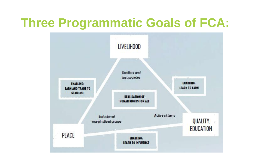### **Three Programmatic Goals of FCA:**

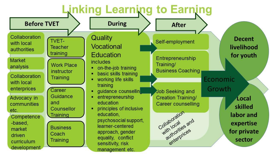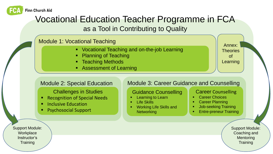

#### Vocational Education Teacher Programme in FCA

as a Tool in Contributing to Quality

#### Module 1: Vocational Teaching

- Vocational Teaching and on-the-job Learning
- Planning of Teaching
- **Teaching Methods**
- **Assessment of Learning**

Module 2: Special Education

Challenges in Studies

- Recognition of Special Needs
- **Inclusive Education**
- Psychosocial Support

#### Module 3: Career Guidance and Counselling

#### Guidance Counselling

- Learning to Learn
- Life Skills
- Working Life Skills and **Networking**

#### Career Counselling

Annex: **Theories** of

Learning

- Career Choices
- Career Planning
- Job-seeking Training
- Entre-preneur Training

Support Module: Coaching and **Mentoring Training** 

Support Module: **Workplace** Instructor's **Training**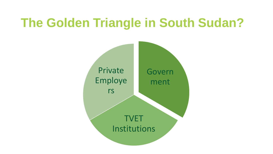## The Golden Triangle in South Sudan?